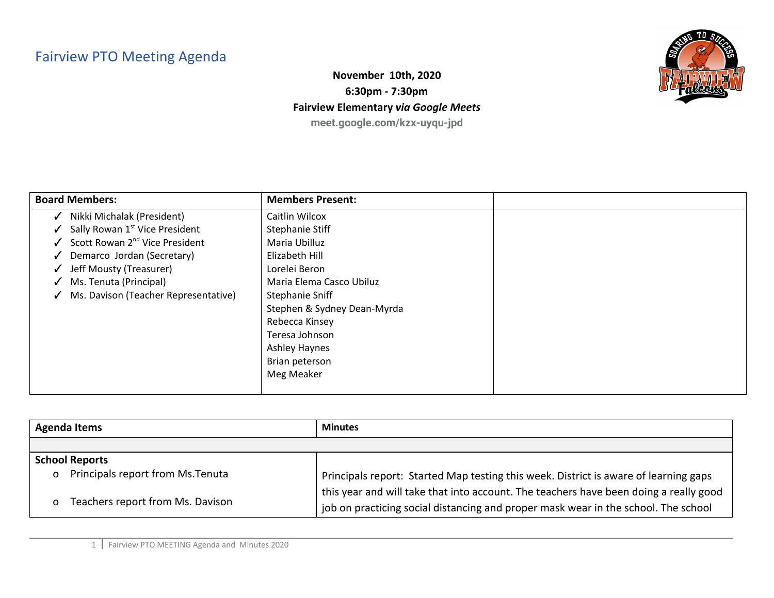## Fairview PTO Meeting Agenda



**November 10th, 2020 6:30pm - 7:30pm Fairview Elementary** *via Google Meets* **meet.google.com/kzx-uyqu-jpd**

| <b>Board Members:</b>                                      | <b>Members Present:</b>     |  |
|------------------------------------------------------------|-----------------------------|--|
| Nikki Michalak (President)<br>$\checkmark$                 | Caitlin Wilcox              |  |
| Sally Rowan 1 <sup>st</sup> Vice President<br>$\checkmark$ | Stephanie Stiff             |  |
| $\checkmark$ Scott Rowan 2 <sup>nd</sup> Vice President    | Maria Ubilluz               |  |
| Demarco Jordan (Secretary)                                 | Elizabeth Hill              |  |
| Jeff Mousty (Treasurer)<br>$\checkmark$                    | Lorelei Beron               |  |
| Ms. Tenuta (Principal)                                     | Maria Elema Casco Ubiluz    |  |
| Ms. Davison (Teacher Representative)<br>$\checkmark$       | Stephanie Sniff             |  |
|                                                            | Stephen & Sydney Dean-Myrda |  |
|                                                            | Rebecca Kinsey              |  |
|                                                            | Teresa Johnson              |  |
|                                                            | <b>Ashley Haynes</b>        |  |
|                                                            | Brian peterson              |  |
|                                                            | Meg Meaker                  |  |
|                                                            |                             |  |

| <b>Agenda Items</b>                                 | <b>Minutes</b>                                                                        |
|-----------------------------------------------------|---------------------------------------------------------------------------------------|
|                                                     |                                                                                       |
| <b>School Reports</b>                               |                                                                                       |
| Principals report from Ms. Tenuta<br>$\overline{O}$ | Principals report: Started Map testing this week. District is aware of learning gaps  |
| Teachers report from Ms. Davison<br>0               | this year and will take that into account. The teachers have been doing a really good |
|                                                     | job on practicing social distancing and proper mask wear in the school. The school    |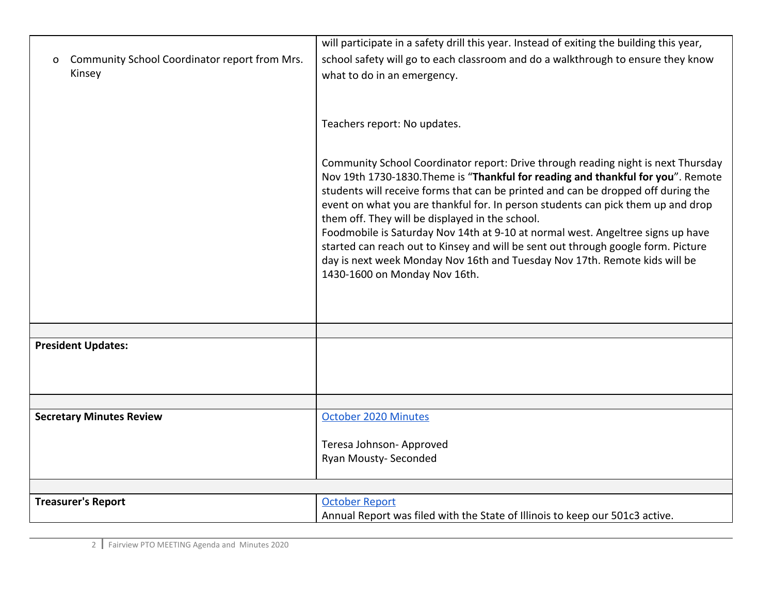|                                                    | will participate in a safety drill this year. Instead of exiting the building this year,                                                                                                                                                                                                                                                                                                                                                                                                                                                                                                                                                                                                 |
|----------------------------------------------------|------------------------------------------------------------------------------------------------------------------------------------------------------------------------------------------------------------------------------------------------------------------------------------------------------------------------------------------------------------------------------------------------------------------------------------------------------------------------------------------------------------------------------------------------------------------------------------------------------------------------------------------------------------------------------------------|
| Community School Coordinator report from Mrs.<br>0 | school safety will go to each classroom and do a walkthrough to ensure they know                                                                                                                                                                                                                                                                                                                                                                                                                                                                                                                                                                                                         |
| Kinsey                                             | what to do in an emergency.                                                                                                                                                                                                                                                                                                                                                                                                                                                                                                                                                                                                                                                              |
|                                                    |                                                                                                                                                                                                                                                                                                                                                                                                                                                                                                                                                                                                                                                                                          |
|                                                    |                                                                                                                                                                                                                                                                                                                                                                                                                                                                                                                                                                                                                                                                                          |
|                                                    | Teachers report: No updates.                                                                                                                                                                                                                                                                                                                                                                                                                                                                                                                                                                                                                                                             |
|                                                    |                                                                                                                                                                                                                                                                                                                                                                                                                                                                                                                                                                                                                                                                                          |
|                                                    | Community School Coordinator report: Drive through reading night is next Thursday<br>Nov 19th 1730-1830. Theme is "Thankful for reading and thankful for you". Remote<br>students will receive forms that can be printed and can be dropped off during the<br>event on what you are thankful for. In person students can pick them up and drop<br>them off. They will be displayed in the school.<br>Foodmobile is Saturday Nov 14th at 9-10 at normal west. Angeltree signs up have<br>started can reach out to Kinsey and will be sent out through google form. Picture<br>day is next week Monday Nov 16th and Tuesday Nov 17th. Remote kids will be<br>1430-1600 on Monday Nov 16th. |
|                                                    |                                                                                                                                                                                                                                                                                                                                                                                                                                                                                                                                                                                                                                                                                          |
| <b>President Updates:</b>                          |                                                                                                                                                                                                                                                                                                                                                                                                                                                                                                                                                                                                                                                                                          |
|                                                    |                                                                                                                                                                                                                                                                                                                                                                                                                                                                                                                                                                                                                                                                                          |
|                                                    |                                                                                                                                                                                                                                                                                                                                                                                                                                                                                                                                                                                                                                                                                          |
|                                                    |                                                                                                                                                                                                                                                                                                                                                                                                                                                                                                                                                                                                                                                                                          |
| <b>Secretary Minutes Review</b>                    | October 2020 Minutes                                                                                                                                                                                                                                                                                                                                                                                                                                                                                                                                                                                                                                                                     |
|                                                    |                                                                                                                                                                                                                                                                                                                                                                                                                                                                                                                                                                                                                                                                                          |
|                                                    | Teresa Johnson-Approved                                                                                                                                                                                                                                                                                                                                                                                                                                                                                                                                                                                                                                                                  |
|                                                    | Ryan Mousty- Seconded                                                                                                                                                                                                                                                                                                                                                                                                                                                                                                                                                                                                                                                                    |
|                                                    |                                                                                                                                                                                                                                                                                                                                                                                                                                                                                                                                                                                                                                                                                          |
| <b>Treasurer's Report</b>                          | <b>October Report</b>                                                                                                                                                                                                                                                                                                                                                                                                                                                                                                                                                                                                                                                                    |
|                                                    | Annual Report was filed with the State of Illinois to keep our 501c3 active.                                                                                                                                                                                                                                                                                                                                                                                                                                                                                                                                                                                                             |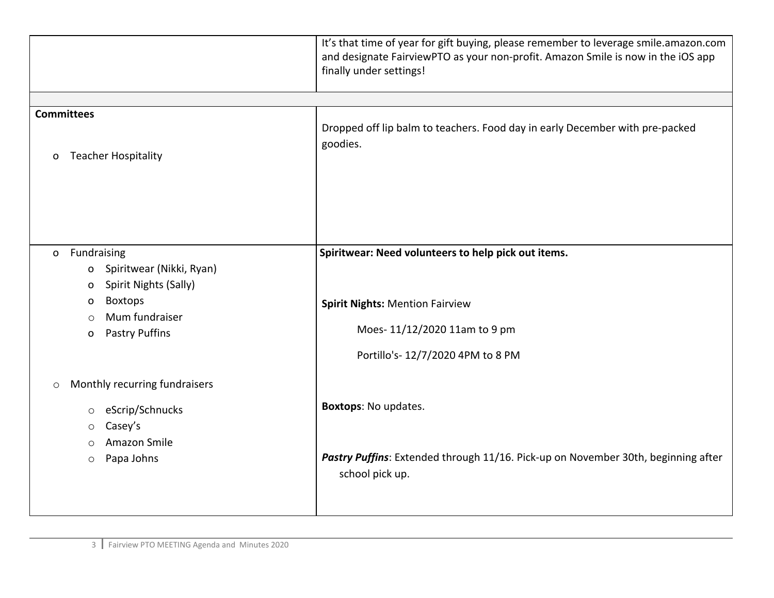|                                                                                                                                                                              | It's that time of year for gift buying, please remember to leverage smile.amazon.com<br>and designate FairviewPTO as your non-profit. Amazon Smile is now in the iOS app<br>finally under settings! |
|------------------------------------------------------------------------------------------------------------------------------------------------------------------------------|-----------------------------------------------------------------------------------------------------------------------------------------------------------------------------------------------------|
|                                                                                                                                                                              |                                                                                                                                                                                                     |
| <b>Committees</b><br><b>Teacher Hospitality</b><br>$\mathsf{o}$                                                                                                              | Dropped off lip balm to teachers. Food day in early December with pre-packed<br>goodies.                                                                                                            |
| Fundraising<br>$\mathsf{O}$<br>Spiritwear (Nikki, Ryan)<br>O<br>Spirit Nights (Sally)<br>o<br><b>Boxtops</b><br>o<br>Mum fundraiser<br>$\circ$<br><b>Pastry Puffins</b><br>o | Spiritwear: Need volunteers to help pick out items.<br><b>Spirit Nights: Mention Fairview</b><br>Moes-11/12/2020 11am to 9 pm<br>Portillo's-12/7/2020 4PM to 8 PM                                   |
| Monthly recurring fundraisers<br>$\circ$<br>eScrip/Schnucks<br>$\circ$<br>Casey's<br>$\circ$<br>Amazon Smile<br>$\circ$<br>Papa Johns<br>$\circ$                             | Boxtops: No updates.<br>Pastry Puffins: Extended through 11/16. Pick-up on November 30th, beginning after<br>school pick up.                                                                        |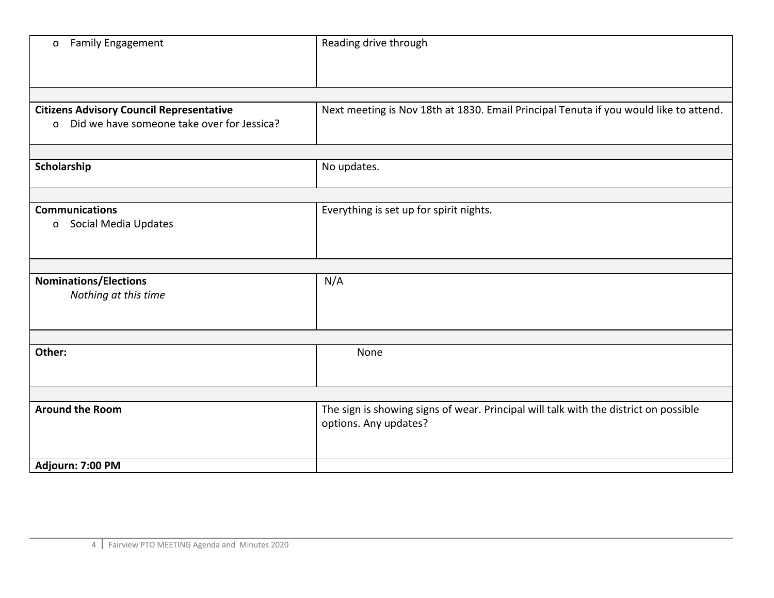| <b>Family Engagement</b><br>$\mathsf{o}$                                                                  | Reading drive through                                                                                         |
|-----------------------------------------------------------------------------------------------------------|---------------------------------------------------------------------------------------------------------------|
|                                                                                                           |                                                                                                               |
| <b>Citizens Advisory Council Representative</b><br>Did we have someone take over for Jessica?<br>$\Omega$ | Next meeting is Nov 18th at 1830. Email Principal Tenuta if you would like to attend.                         |
| Scholarship                                                                                               | No updates.                                                                                                   |
|                                                                                                           |                                                                                                               |
| <b>Communications</b><br>Social Media Updates<br>$\mathbf{o}$                                             | Everything is set up for spirit nights.                                                                       |
|                                                                                                           |                                                                                                               |
| <b>Nominations/Elections</b><br>Nothing at this time                                                      | N/A                                                                                                           |
|                                                                                                           |                                                                                                               |
| Other:                                                                                                    | None                                                                                                          |
|                                                                                                           |                                                                                                               |
| <b>Around the Room</b>                                                                                    | The sign is showing signs of wear. Principal will talk with the district on possible<br>options. Any updates? |
| Adjourn: 7:00 PM                                                                                          |                                                                                                               |